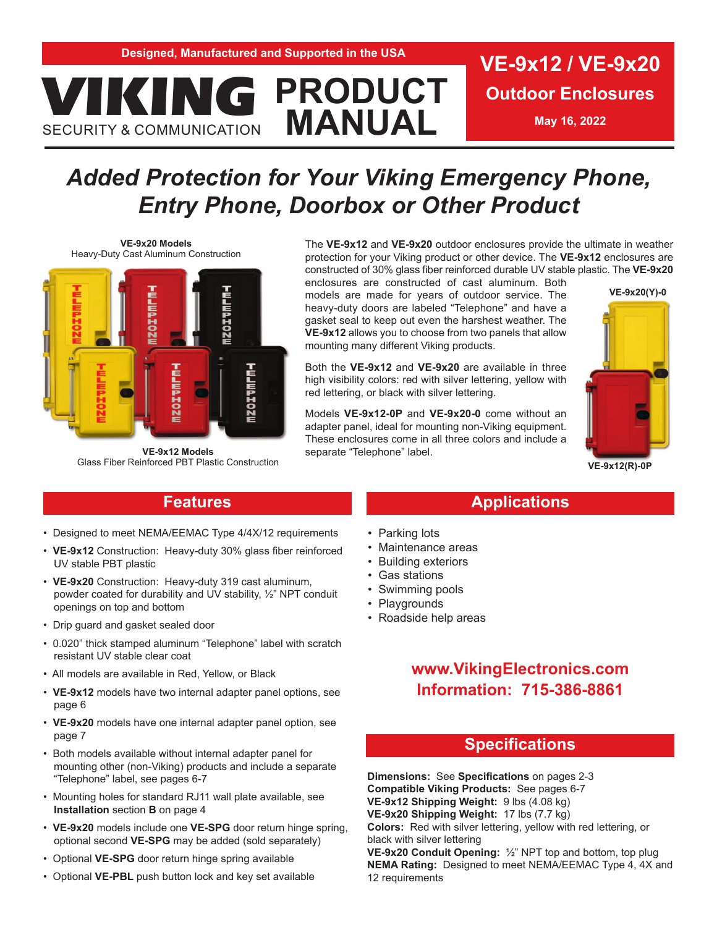**VIKING PRODUCT** 

**Outdoor Enclosures**

**May 16, 2022**

# *Added Protection for Your Viking Emergency Phone, Entry Phone, Doorbox or Other Product*

**MANUAL**

**VE-9x20 Models**  Heavy-Duty Cast Aluminum Construction

SECURITY & COMMUNICATION



**VE-9x12 Models**  Glass Fiber Reinforced PBT Plastic Construction

The **VE-9x12** and **VE-9x20** outdoor enclosures provide the ultimate in weather protection for your Viking product or other device. The **VE-9x12** enclosures are constructed of 30% glass fiber reinforced durable UV stable plastic. The **VE-9x20** 

enclosures are constructed of cast aluminum. Both models are made for years of outdoor service. The heavy-duty doors are labeled "Telephone" and have a gasket seal to keep out even the harshest weather. The **VE-9x12** allows you to choose from two panels that allow mounting many different Viking products.

Both the **VE-9x12** and **VE-9x20** are available in three high visibility colors: red with silver lettering, yellow with red lettering, or black with silver lettering.

Models **VE-9x12-0P** and **VE-9x20-0** come without an adapter panel, ideal for mounting non-Viking equipment. These enclosures come in all three colors and include a separate "Telephone" label.



**VE-9x12(R)-0P**

### **Features**

- Designed to meet NEMA/EEMAC Type 4/4X/12 requirements
- **VE-9x12** Construction: Heavy-duty 30% glass fiber reinforced UV stable PBT plastic
- **VE-9x20** Construction: Heavy-duty 319 cast aluminum, powder coated for durability and UV stability, ½" NPT conduit openings on top and bottom
- Drip guard and gasket sealed door
- 0.020" thick stamped aluminum "Telephone" label with scratch resistant UV stable clear coat
- All models are available in Red, Yellow, or Black
- **VE-9x12** models have two internal adapter panel options, see page 6
- **VE-9x20** models have one internal adapter panel option, see page 7
- Both models available without internal adapter panel for mounting other (non-Viking) products and include a separate "Telephone" label, see pages 6-7
- Mounting holes for standard RJ11 wall plate available, see **Installation** section **B** on page 4
- **VE-9x20** models include one **VE-SPG** door return hinge spring, optional second **VE-SPG** may be added (sold separately)
- Optional **VE-SPG** door return hinge spring available
- Optional **VE-PBL** push button lock and key set available

## • Parking lots

- Maintenance areas
- **Building exteriors**
- Gas stations
- Swimming pools
- Playgrounds
- Roadside help areas

### **www.VikingElectronics.com Information: 715-386-8861**

**Applications**

### **Specifications**

**Dimensions:** See **Specifications** on pages 2-3 **Compatible Viking Products:** See pages 6-7 **VE-9x12 Shipping Weight:** 9 lbs (4.08 kg) **VE-9x20 Shipping Weight:** 17 lbs (7.7 kg) **Colors:** Red with silver lettering, yellow with red lettering, or black with silver lettering **VE-9x20 Conduit Opening:** ½" NPT top and bottom, top plug

**NEMA Rating:** Designed to meet NEMA/EEMAC Type 4, 4X and 12 requirements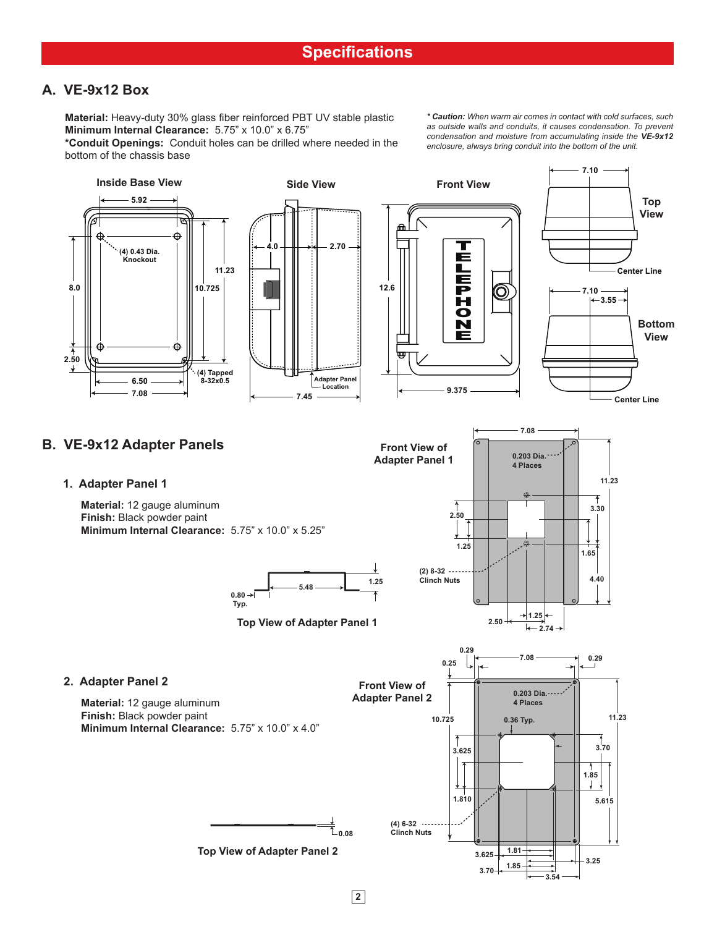### **A. VE-9x12 Box**

**Material:** Heavy-duty 30% glass fiber reinforced PBT UV stable plastic **Minimum Internal Clearance:** 5.75" x 10.0" x 6.75"

**\*Conduit Openings:** Conduit holes can be drilled where needed in the bottom of the chassis base

*\* Caution: When warm air comes in contact with cold surfaces, such as outside walls and conduits, it causes condensation. To prevent condensation and moisture from accumulating inside the VE-9x12 enclosure, always bring conduit into the bottom of the unit.*

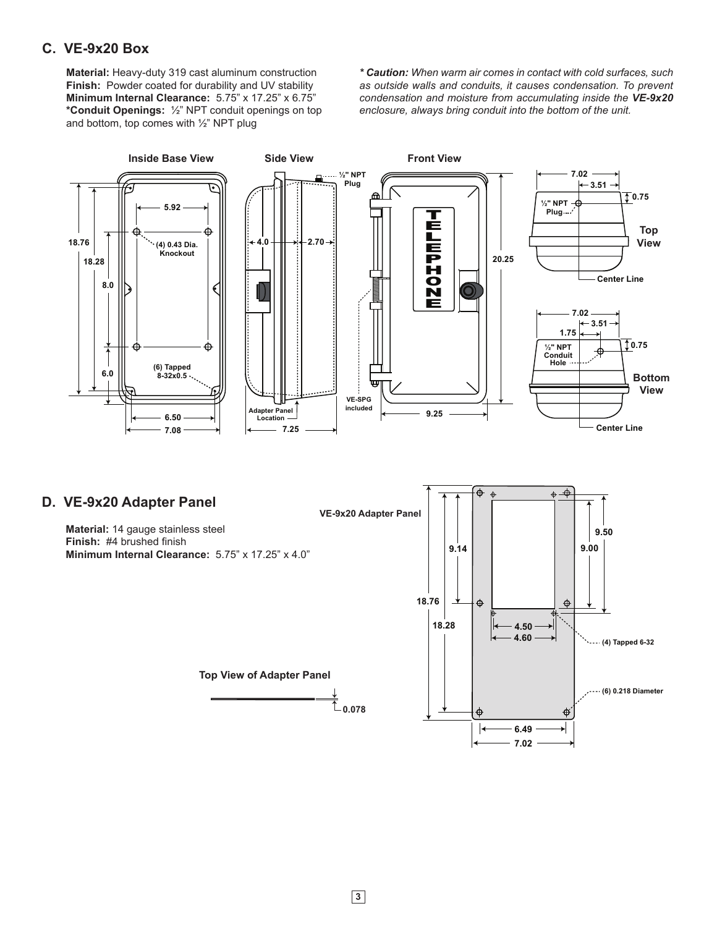### **C. VE-9x20 Box**

**Material:** Heavy-duty 319 cast aluminum construction **Finish:** Powder coated for durability and UV stability **Minimum Internal Clearance:** 5.75" x 17.25" x 6.75" **\*Conduit Openings:** ½" NPT conduit openings on top and bottom, top comes with ½" NPT plug

*\* Caution: When warm air comes in contact with cold surfaces, such as outside walls and conduits, it causes condensation. To prevent condensation and moisture from accumulating inside the VE-9x20 enclosure, always bring conduit into the bottom of the unit.*



**D. VE-9x20 Adapter Panel**

**Material:** 14 gauge stainless steel **Finish:** #4 brushed finish **Minimum Internal Clearance:** 5.75" x 17.25" x 4.0"

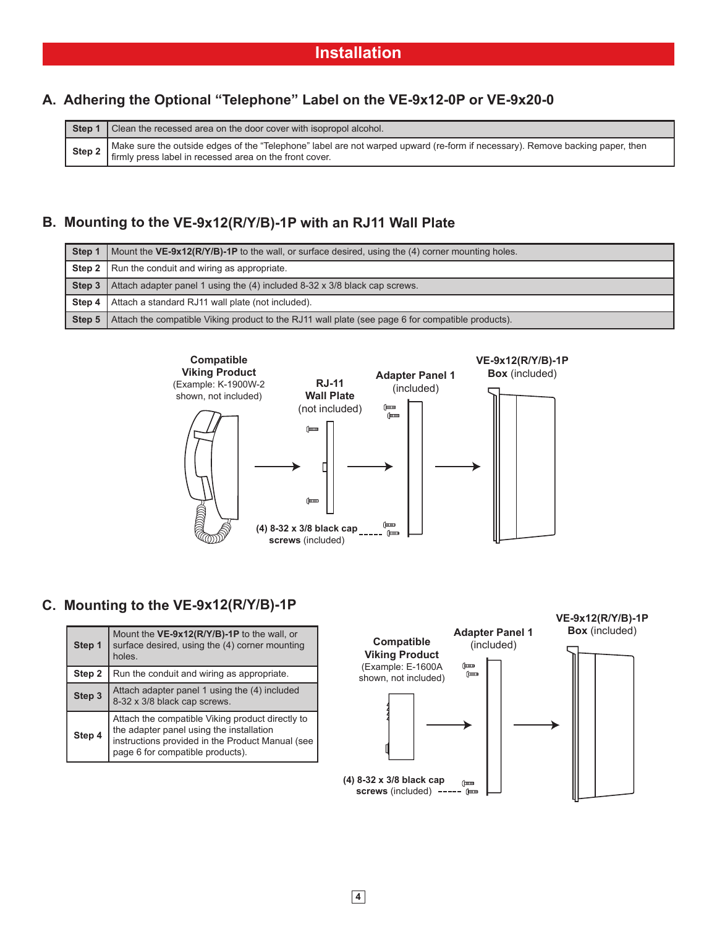### **A. Adhering the Optional "Telephone" Label on the VE-9x12-0P or VE-9x20-0**

|        | <b>Step 1</b> Clean the recessed area on the door cover with isopropol alcohol.                                                                                                            |  |  |  |  |  |
|--------|--------------------------------------------------------------------------------------------------------------------------------------------------------------------------------------------|--|--|--|--|--|
| Step 2 | A Make sure the outside edges of the "Telephone" label are not warped upward (re-form if necessary). Remove backing paper, then<br>firmly press label in recessed area on the front cover. |  |  |  |  |  |

### **B. Mounting to the VE-9x12(R/Y/B)-1P with an RJ11 Wall Plate**

| Step 1 | Mount the VE-9x12(R/Y/B)-1P to the wall, or surface desired, using the (4) corner mounting holes.               |  |  |  |  |
|--------|-----------------------------------------------------------------------------------------------------------------|--|--|--|--|
|        | <b>Step 2</b>   Run the conduit and wiring as appropriate.                                                      |  |  |  |  |
|        | <b>Step 3</b>   Attach adapter panel 1 using the (4) included 8-32 x 3/8 black cap screws.                      |  |  |  |  |
|        | <b>Step 4</b>   Attach a standard RJ11 wall plate (not included).                                               |  |  |  |  |
|        | <b>Step 5</b> Attach the compatible Viking product to the RJ11 wall plate (see page 6 for compatible products). |  |  |  |  |



### **C. Mounting to the VE-9x12(R/Y/B)-1P**

| Step 1 | Mount the VE-9x12(R/Y/B)-1P to the wall, or<br>surface desired, using the (4) corner mounting<br>holes.                                                                              |
|--------|--------------------------------------------------------------------------------------------------------------------------------------------------------------------------------------|
| Step 2 | Run the conduit and wiring as appropriate.                                                                                                                                           |
| Step 3 | Attach adapter panel 1 using the (4) included<br>8-32 x 3/8 black cap screws.                                                                                                        |
| Step 4 | Attach the compatible Viking product directly to<br>the adapter panel using the installation<br>instructions provided in the Product Manual (see<br>page 6 for compatible products). |

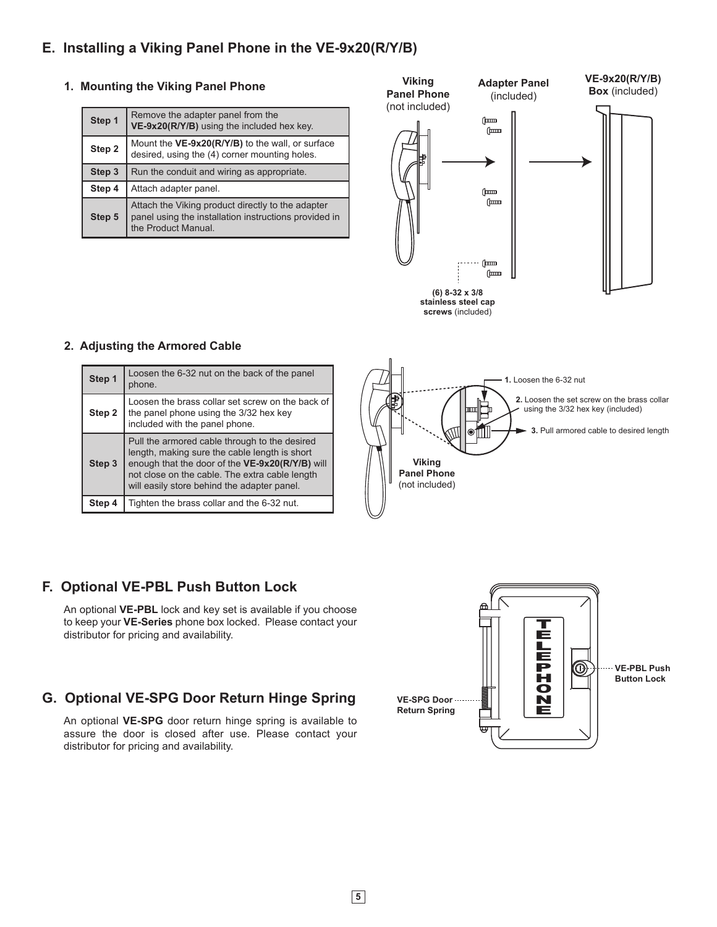### **E. Installing a Viking Panel Phone in the VE-9x20(R/Y/B)**

### **1. Mounting the Viking Panel Phone**

| Step 1 | Remove the adapter panel from the<br>VE-9x20(R/Y/B) using the included hex key.                                                   |  |  |  |  |  |
|--------|-----------------------------------------------------------------------------------------------------------------------------------|--|--|--|--|--|
| Step 2 | Mount the VE-9x20(R/Y/B) to the wall, or surface<br>desired, using the (4) corner mounting holes.                                 |  |  |  |  |  |
| Step 3 | Run the conduit and wiring as appropriate.                                                                                        |  |  |  |  |  |
| Step 4 | Attach adapter panel.                                                                                                             |  |  |  |  |  |
| Step 5 | Attach the Viking product directly to the adapter<br>panel using the installation instructions provided in<br>the Product Manual. |  |  |  |  |  |





**screws** (included)

### **2. Adjusting the Armored Cable**

| Step 1 | Loosen the 6-32 nut on the back of the panel                                                                                                                                                                                                       |
|--------|----------------------------------------------------------------------------------------------------------------------------------------------------------------------------------------------------------------------------------------------------|
|        | phone.                                                                                                                                                                                                                                             |
| Step 2 | Loosen the brass collar set screw on the back of<br>the panel phone using the 3/32 hex key<br>included with the panel phone.                                                                                                                       |
| Step 3 | Pull the armored cable through to the desired<br>length, making sure the cable length is short<br>enough that the door of the VE-9x20(R/Y/B) will<br>not close on the cable. The extra cable length<br>will easily store behind the adapter panel. |
|        | Tighten the brass collar and the 6-32 nut.                                                                                                                                                                                                         |



### **F. Optional VE-PBL Push Button Lock**

An optional **VE-PBL** lock and key set is available if you choose to keep your **VE-Series** phone box locked. Please contact your distributor for pricing and availability.

### **G. Optional VE-SPG Door Return Hinge Spring**

An optional **VE-SPG** door return hinge spring is available to assure the door is closed after use. Please contact your distributor for pricing and availability.

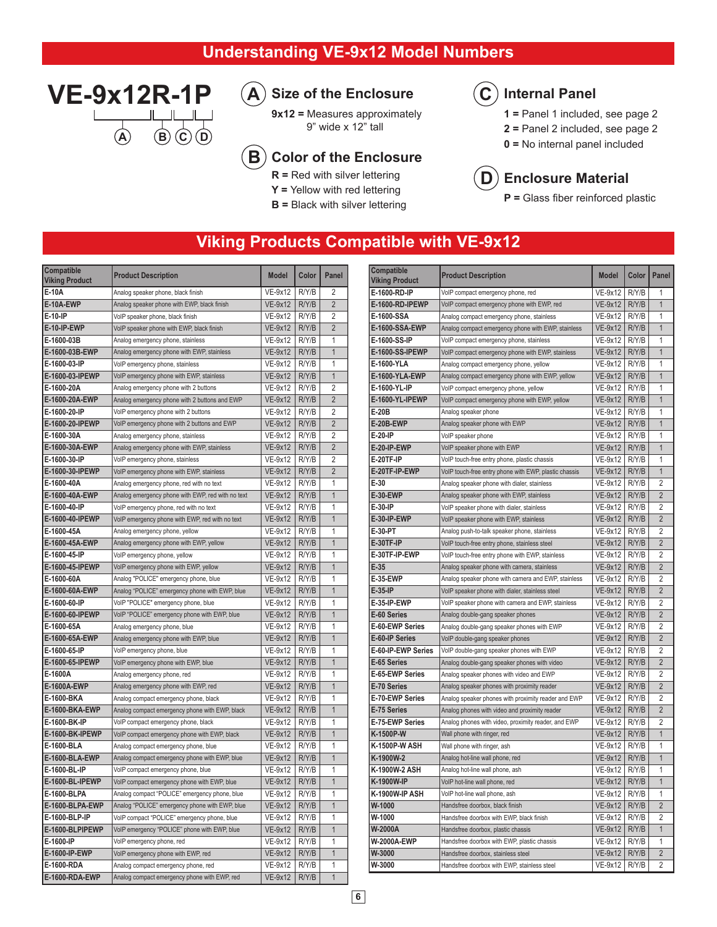### **Understanding VE-9x12 Model Numbers**



#### **Size of the Enclosure A**

**9x12 =** Measures approximately 9" wide x 12" tall

#### **Color of the Enclosure B**

- **R =** Red with silver lettering
- **Y =** Yellow with red lettering
- **B =** Black with silver lettering

#### **Internal Panel**   $\overline{\mathbf{C}}$

- **1 =** Panel 1 included, see page 2
- **2 =** Panel 2 included, see page 2
- **0 =** No internal panel included



**P =** Glass fiber reinforced plastic

### **Viking Products Compatible with VE-9x12**

| Compatible<br><b>Viking Product</b> | <b>Product Description</b>                        | <b>Model</b>   | Color | Panel          | Compatible<br><b>Viking Product</b> | <b>Product Description</b>                            | <b>Model</b>    | <b>Color</b> | Panel          |
|-------------------------------------|---------------------------------------------------|----------------|-------|----------------|-------------------------------------|-------------------------------------------------------|-----------------|--------------|----------------|
| E-10A                               | Analog speaker phone, black finish                | VE-9x12        | R/Y/B | $\overline{2}$ | E-1600-RD-IP                        | VoIP compact emergency phone, red                     | VE-9x12         | R/Y/B        | $\mathbf{1}$   |
| E-10A-EWP                           | Analog speaker phone with EWP, black finish       | VE-9x12        | R/Y/B | $\overline{2}$ | E-1600-RD-IPEWP                     | VoIP compact emergency phone with EWP, red            | <b>VE-9x12</b>  | R/Y/B        | $\overline{1}$ |
| E-10-IP                             | VoIP speaker phone, black finish                  | VE-9x12        | R/Y/B | $\overline{2}$ | E-1600-SSA                          | Analog compact emergency phone, stainless             | VE-9x12         | R/Y/B        | $\mathbf{1}$   |
| E-10-IP-EWP                         | VoIP speaker phone with EWP, black finish         | VE-9x12        | R/Y/B | $\overline{2}$ | <b>E-1600-SSA-EWP</b>               | Analog compact emergency phone with EWP, stainless    | VE-9x12         | R/Y/B        | $\overline{1}$ |
| E-1600-03B                          | Analog emergency phone, stainless                 | <b>VE-9x12</b> | R/Y/B | $\mathbf{1}$   | E-1600-SS-IP                        | VoIP compact emergency phone, stainless               | VE-9x12         | R/Y/B        | $\mathbf{1}$   |
| E-1600-03B-EWP                      | Analog emergency phone with EWP, stainless        | VE-9x12        | R/Y/B | $\mathbf{1}$   | E-1600-SS-IPEWP                     | VoIP compact emergency phone with EWP, stainless      | VE-9x12         | R/Y/B        | $\mathbf{1}$   |
| E-1600-03-IP                        | VoIP emergency phone, stainless                   | VE-9x12        | R/Y/B | 1              | E-1600-YLA                          | Analog compact emergency phone, yellow                | VE-9x12         | R/Y/B        | $\overline{1}$ |
| E-1600-03-IPEWP                     | VoIP emergency phone with EWP, stainless          | <b>VE-9x12</b> | R/Y/B | $\mathbf{1}$   | E-1600-YLA-EWP                      | Analog compact emergency phone with EWP, yellow       | VE-9x12         | R/Y/B        | $\mathbf{1}$   |
| E-1600-20A                          | Analog emergency phone with 2 buttons             | VE-9x12        | R/Y/B | $\overline{2}$ | E-1600-YL-IP                        | VoIP compact emergency phone, yellow                  | VE-9x12         | R/Y/B        | $\mathbf{1}$   |
| E-1600-20A-EWP                      | Analog emergency phone with 2 buttons and EWP     | VE-9x12        | R/Y/B | $\overline{2}$ | E-1600-YL-IPEWP                     | VoIP compact emergency phone with EWP, yellow         | VE-9x12         | R/Y/B        | $\overline{1}$ |
| E-1600-20-IP                        | VoIP emergency phone with 2 buttons               | VE-9x12        | R/Y/B | $\overline{2}$ | E-20B                               | Analog speaker phone                                  | VE-9x12         | R/Y/B        | $\overline{1}$ |
| E-1600-20-IPEWP                     | VoIP emergency phone with 2 buttons and EWP       | <b>VE-9x12</b> | R/Y/B | $\overline{2}$ | E-20B-EWP                           | Analog speaker phone with EWP                         | VE-9x12         | R/Y/B        | $\overline{1}$ |
| E-1600-30A                          | Analog emergency phone, stainless                 | VE-9x12        | R/Y/B | $\overline{2}$ | E-20-IP                             | VoIP speaker phone                                    | VE-9x12         | R/Y/B        | $\mathbf{1}$   |
| E-1600-30A-EWP                      | Analog emergency phone with EWP, stainless        | VE-9x12        | R/Y/B | $\overline{2}$ | E-20-IP-EWP                         | VoIP speaker phone with EWP                           | VE-9x12         | R/Y/B        | $\overline{1}$ |
| E-1600-30-IP                        | VoIP emergency phone, stainless                   | <b>VE-9x12</b> | R/Y/B | $\overline{2}$ | <b>E-20TF-IP</b>                    | VoIP touch-free entry phone, plastic chassis          | <b>VE-9x12</b>  | R/Y/B        | $\mathbf{1}$   |
| E-1600-30-IPEWP                     | VoIP emergency phone with EWP, stainless          | VE-9x12        | R/Y/B | $\overline{2}$ | E-20TF-IP-EWP                       | VoIP touch-free entry phone with EWP, plastic chassis | VE-9x12         | R/Y/B        | $\overline{1}$ |
| E-1600-40A                          | Analog emergency phone, red with no text          | VE-9x12        | R/Y/B | 1              | $E-30$                              | Analog speaker phone with dialer, stainless           | VE-9x12         | R/Y/B        | $\overline{2}$ |
| E-1600-40A-EWP                      | Analog emergency phone with EWP, red with no text | <b>VE-9x12</b> | R/Y/B | $\mathbf{1}$   | <b>E-30-EWP</b>                     | Analog speaker phone with EWP, stainless              | VE-9x12         | R/Y/B        | $\overline{2}$ |
| E-1600-40-IP                        | VoIP emergency phone, red with no text            | VE-9x12        | R/Y/B | 1              | E-30-IP                             | VoIP speaker phone with dialer, stainless             | VE-9x12         | R/Y/B        | $\overline{2}$ |
| E-1600-40-IPEWP                     | VoIP emergency phone with EWP, red with no text   | VE-9x12        | R/Y/B | $\mathbf{1}$   | E-30-IP-EWP                         | VoIP speaker phone with EWP, stainless                | VE-9x12         | R/Y/B        | $\overline{2}$ |
| E-1600-45A                          | Analog emergency phone, yellow                    | VE-9x12        | R/Y/B | 1              | E-30-PT                             | Analog push-to-talk speaker phone, stainless          | VE-9x12         | R/Y/B        | $\overline{2}$ |
| E-1600-45A-EWP                      | Analog emergency phone with EWP, yellow           | VE-9x12        | R/Y/B | $\mathbf{1}$   | <b>E-30TF-IP</b>                    | VoIP touch-free entry phone, stainless steel          | VE-9x12         | R/Y/B        | $\overline{2}$ |
| E-1600-45-IP                        | VoIP emergency phone, yellow                      | VE-9x12        | R/Y/B | $\mathbf{1}$   | E-30TF-IP-EWP                       | VoIP touch-free entry phone with EWP, stainless       | VE-9x12         | R/Y/B        | $\overline{2}$ |
| E-1600-45-IPEWP                     | VoIP emergency phone with EWP, yellow             | VE-9x12        | R/Y/B | $\mathbf{1}$   | $E-35$                              | Analog speaker phone with camera, stainless           | <b>VE-9x12</b>  | R/Y/B        | $\overline{2}$ |
| E-1600-60A                          | Analog "POLICE" emergency phone, blue             | VE-9x12        | R/Y/B | $\mathbf{1}$   | <b>E-35-EWP</b>                     | Analog speaker phone with camera and EWP, stainless   | <b>VE-9x12</b>  | R/Y/B        | $\overline{2}$ |
| E-1600-60A-EWP                      | Analog "POLICE" emergency phone with EWP, blue    | VE-9x12        | R/Y/B | $\mathbf{1}$   | $E-35-IP$                           | VoIP speaker phone with dialer, stainless steel       | VE-9x12         | R/Y/B        | $\overline{2}$ |
| E-1600-60-IP                        | VoIP "POLICE" emergency phone, blue               | VE-9x12        | R/Y/B | 1              | E-35-IP-EWP                         | VoIP speaker phone with camera and EWP, stainless     | VE-9x12         | R/Y/B        | $\overline{2}$ |
| E-1600-60-IPEWP                     | VoIP "POLICE" emergency phone with EWP, blue      | VE-9x12        | R/Y/B | $\mathbf{1}$   | E-60 Series                         | Analog double-gang speaker phones                     | VE-9x12         | R/Y/B        | $\overline{2}$ |
| E-1600-65A                          | Analog emergency phone, blue                      | VE-9x12        | R/Y/B | 1              | E-60-EWP Series                     | Analog double-gang speaker phones with EWP            | VE-9x12         | R/Y/B        | $\overline{2}$ |
| E-1600-65A-EWP                      | Analog emergency phone with EWP, blue             | VE-9x12        | R/Y/B | $\mathbf{1}$   | E-60-IP Series                      | VoIP double-gang speaker phones                       | <b>VE-9x12</b>  | R/Y/B        | $\overline{2}$ |
| E-1600-65-IP                        | VoIP emergency phone, blue                        | VE-9x12        | R/Y/B | 1              | E-60-IP-EWP Series                  | VoIP double-gang speaker phones with EWP              | VE-9x12         | R/Y/B        | $\overline{2}$ |
| E-1600-65-IPEWP                     | VoIP emergency phone with EWP, blue               | VE-9x12        | R/Y/B | $\mathbf 1$    | E-65 Series                         | Analog double-gang speaker phones with video          | VE-9x12         | R/Y/B        | $\overline{2}$ |
| E-1600A                             | Analog emergency phone, red                       | VE-9x12        | R/Y/B | $\mathbf{1}$   | E-65-EWP Series                     | Analog speaker phones with video and EWP              | VE-9x12         | R/Y/B        | $\overline{2}$ |
| E-1600A-EWP                         | Analog emergency phone with EWP, red              | VE-9x12        | R/Y/B | $\mathbf{1}$   | E-70 Series                         | Analog speaker phones with proximity reader           | <b>VE-9x12</b>  | R/Y/B        | $\overline{2}$ |
| E-1600-BKA                          | Analog compact emergency phone, black             | VE-9x12        | R/Y/B | $\mathbf{1}$   | E-70-EWP Series                     | Analog speaker phones with proximity reader and EWP   | VE-9x12         | R/Y/B        | 2              |
| E-1600-BKA-EWP                      | Analog compact emergency phone with EWP, black    | VE-9x12        | R/Y/B | $\mathbf{1}$   | E-75 Series                         | Analog phones with video and proximity reader         | VE-9x12         | R/Y/B        | $\overline{2}$ |
| E-1600-BK-IP                        | VoIP compact emergency phone, black               | VE-9x12        | R/Y/B | 1              | E-75-EWP Series                     | Analog phones with video, proximity reader, and EWP   | VE-9x12         | R/Y/B        | $\overline{2}$ |
| E-1600-BK-IPEWP                     | VoIP compact emergency phone with EWP, black      | VE-9x12        | R/Y/B | $\mathbf{1}$   | K-1500P-W                           | Wall phone with ringer, red                           | <b>VE-9x12</b>  | R/Y/B        | $\mathbf{1}$   |
| E-1600-BLA                          | Analog compact emergency phone, blue              | VE-9x12        | R/Y/B | 1              | K-1500P-W ASH                       | Wall phone with ringer, ash                           | VE-9x12         | R/Y/B        | $\mathbf{1}$   |
| E-1600-BLA-EWP                      | Analog compact emergency phone with EWP, blue     | VE-9x12        | R/Y/B | $\mathbf{1}$   | K-1900W-2                           | Analog hot-line wall phone, red                       | VE-9x12         | R/Y/B        | $\overline{1}$ |
| E-1600-BL-IP                        | VoIP compact emergency phone, blue                | $VE-9x12$      | R/Y/B | 1              | K-1900W-2 ASH                       | Analog hot-line wall phone, ash                       | VE-9x12         | R/Y/B        | $\overline{1}$ |
| E-1600-BL-IPEWP                     | VoIP compact emergency phone with EWP, blue       | VE-9x12        | R/Y/B | $\overline{1}$ | K-1900W-IP                          | VoIP hot-line wall phone, red                         | VE-9x12 R/Y/B   |              | $\overline{1}$ |
| E-1600-BLPA                         | Analog compact "POLICE" emergency phone, blue     | VE-9x12        | R/Y/B | $\mathbf{1}$   | K-1900W-IP ASH                      | VoIP hot-line wall phone, ash                         | VE-9x12   R/Y/B |              | $\overline{1}$ |
| E-1600-BLPA-EWP                     | Analog "POLICE" emergency phone with EWP, blue    | VE-9x12        | R/Y/B | $\mathbf{1}$   | W-1000                              | Handsfree doorbox, black finish                       | VE-9x12   R/Y/B |              | $\overline{2}$ |
| E-1600-BLP-IP                       | VoIP compact "POLICE" emergency phone, blue       | VE-9x12        | R/Y/B | 1              | W-1000                              | Handsfree doorbox with EWP, black finish              | VE-9x12         | R/Y/B        | $\overline{2}$ |
| E-1600-BLPIPEWP                     | VoIP emergency "POLICE" phone with EWP, blue      | VE-9x12        | R/Y/B | $\mathbf{1}$   | W-2000A                             | Handsfree doorbox, plastic chassis                    | VE-9x12 R/Y/B   |              | $\overline{1}$ |
| E-1600-IP                           | VoIP emergency phone, red                         | VE-9x12        | R/Y/B | 1              | W-2000A-EWP                         | Handsfree doorbox with EWP, plastic chassis           | VE-9x12         | R/Y/B        | $\overline{1}$ |
| E-1600-IP-EWP                       | VoIP emergency phone with EWP, red                | VE-9x12        | R/Y/B | $\mathbf{1}$   | W-3000                              | Handsfree doorbox, stainless steel                    | VE-9x12         | R/Y/B        | $\overline{2}$ |
| E-1600-RDA                          | Analog compact emergency phone, red               | VE-9x12        | R/Y/B |                | W-3000                              | Handsfree doorbox with EWP, stainless steel           | VE-9x12         | R/Y/B        | $\overline{2}$ |
| E-1600-RDA-EWP                      | Analog compact emergency phone with EWP, red      | VE-9x12        | R/Y/B |                |                                     |                                                       |                 |              |                |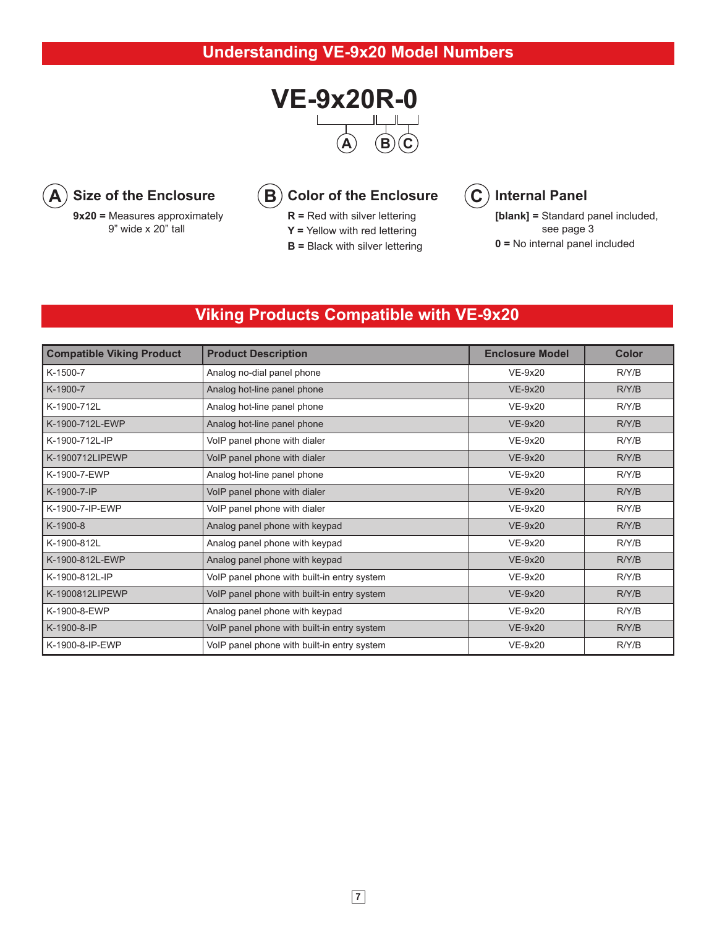



9" wide x 20" tall

**R =** Red with silver lettering

**Y =** Yellow with red lettering

**B =** Black with silver lettering



**[blank] =** Standard panel included, see page 3 **0 =** No internal panel included

### **Viking Products Compatible with VE-9x20**

| <b>Compatible Viking Product</b> | <b>Product Description</b>                  | <b>Enclosure Model</b> | <b>Color</b> |
|----------------------------------|---------------------------------------------|------------------------|--------------|
| K-1500-7                         | Analog no-dial panel phone                  | <b>VE-9x20</b>         | R/Y/B        |
| K-1900-7                         | Analog hot-line panel phone                 | $VE-9x20$              | R/Y/B        |
| K-1900-712L                      | Analog hot-line panel phone                 | $VE-9x20$              |              |
| K-1900-712L-EWP                  | Analog hot-line panel phone                 | $VE-9x20$              | R/Y/B        |
| K-1900-712L-IP                   | VoIP panel phone with dialer                | $VE-9x20$              | R/Y/B        |
| K-1900712LIPEWP                  | VoIP panel phone with dialer                | $VE-9x20$              | R/Y/B        |
| K-1900-7-EWP                     | Analog hot-line panel phone                 | $VE-9x20$              | R/Y/B        |
| K-1900-7-IP                      | VoIP panel phone with dialer                | $VE-9x20$              | R/Y/B        |
| K-1900-7-IP-EWP                  | VoIP panel phone with dialer                | $VE-9x20$              | R/Y/B        |
| K-1900-8                         | Analog panel phone with keypad              | <b>VE-9x20</b>         | R/Y/B        |
| K-1900-812L                      | Analog panel phone with keypad              | $VE-9x20$              | R/Y/B        |
| K-1900-812L-EWP                  | Analog panel phone with keypad              | $VE-9x20$              | R/Y/B        |
| K-1900-812L-IP                   | VoIP panel phone with built-in entry system | <b>VE-9x20</b>         | R/Y/B        |
| K-1900812LIPEWP                  | VoIP panel phone with built-in entry system | <b>VE-9x20</b>         | R/Y/B        |
| K-1900-8-EWP                     | Analog panel phone with keypad              | <b>VE-9x20</b>         | R/Y/B        |
| K-1900-8-IP                      | VoIP panel phone with built-in entry system | <b>VE-9x20</b>         | R/Y/B        |
| K-1900-8-IP-EWP                  | VoIP panel phone with built-in entry system | <b>VE-9x20</b>         | R/Y/B        |